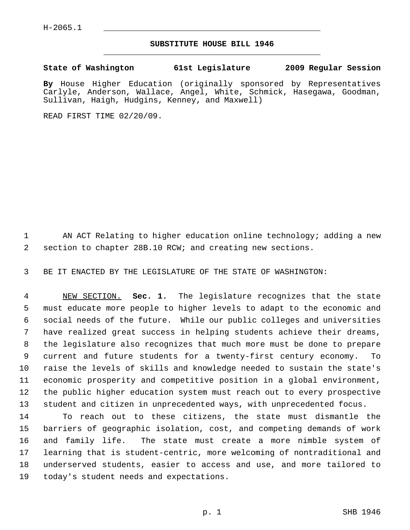## **SUBSTITUTE HOUSE BILL 1946** \_\_\_\_\_\_\_\_\_\_\_\_\_\_\_\_\_\_\_\_\_\_\_\_\_\_\_\_\_\_\_\_\_\_\_\_\_\_\_\_\_\_\_\_\_

## **State of Washington 61st Legislature 2009 Regular Session**

**By** House Higher Education (originally sponsored by Representatives Carlyle, Anderson, Wallace, Angel, White, Schmick, Hasegawa, Goodman, Sullivan, Haigh, Hudgins, Kenney, and Maxwell)

READ FIRST TIME 02/20/09.

1 AN ACT Relating to higher education online technology; adding a new 2 section to chapter 28B.10 RCW; and creating new sections.

3 BE IT ENACTED BY THE LEGISLATURE OF THE STATE OF WASHINGTON:

 4 NEW SECTION. **Sec. 1.** The legislature recognizes that the state 5 must educate more people to higher levels to adapt to the economic and 6 social needs of the future. While our public colleges and universities 7 have realized great success in helping students achieve their dreams, 8 the legislature also recognizes that much more must be done to prepare 9 current and future students for a twenty-first century economy. To 10 raise the levels of skills and knowledge needed to sustain the state's 11 economic prosperity and competitive position in a global environment, 12 the public higher education system must reach out to every prospective 13 student and citizen in unprecedented ways, with unprecedented focus.

14 To reach out to these citizens, the state must dismantle the 15 barriers of geographic isolation, cost, and competing demands of work 16 and family life. The state must create a more nimble system of 17 learning that is student-centric, more welcoming of nontraditional and 18 underserved students, easier to access and use, and more tailored to 19 today's student needs and expectations.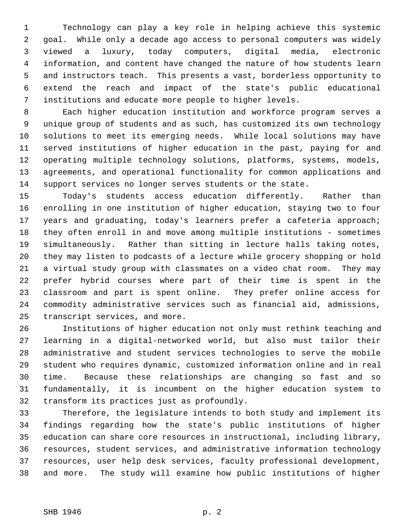1 Technology can play a key role in helping achieve this systemic 2 goal. While only a decade ago access to personal computers was widely 3 viewed a luxury, today computers, digital media, electronic 4 information, and content have changed the nature of how students learn 5 and instructors teach. This presents a vast, borderless opportunity to 6 extend the reach and impact of the state's public educational 7 institutions and educate more people to higher levels.

 8 Each higher education institution and workforce program serves a 9 unique group of students and as such, has customized its own technology 10 solutions to meet its emerging needs. While local solutions may have 11 served institutions of higher education in the past, paying for and 12 operating multiple technology solutions, platforms, systems, models, 13 agreements, and operational functionality for common applications and 14 support services no longer serves students or the state.

15 Today's students access education differently. Rather than 16 enrolling in one institution of higher education, staying two to four 17 years and graduating, today's learners prefer a cafeteria approach; 18 they often enroll in and move among multiple institutions - sometimes 19 simultaneously. Rather than sitting in lecture halls taking notes, 20 they may listen to podcasts of a lecture while grocery shopping or hold 21 a virtual study group with classmates on a video chat room. They may 22 prefer hybrid courses where part of their time is spent in the 23 classroom and part is spent online. They prefer online access for 24 commodity administrative services such as financial aid, admissions, 25 transcript services, and more.

26 Institutions of higher education not only must rethink teaching and 27 learning in a digital-networked world, but also must tailor their 28 administrative and student services technologies to serve the mobile 29 student who requires dynamic, customized information online and in real 30 time. Because these relationships are changing so fast and so 31 fundamentally, it is incumbent on the higher education system to 32 transform its practices just as profoundly.

33 Therefore, the legislature intends to both study and implement its 34 findings regarding how the state's public institutions of higher 35 education can share core resources in instructional, including library, 36 resources, student services, and administrative information technology 37 resources, user help desk services, faculty professional development, 38 and more. The study will examine how public institutions of higher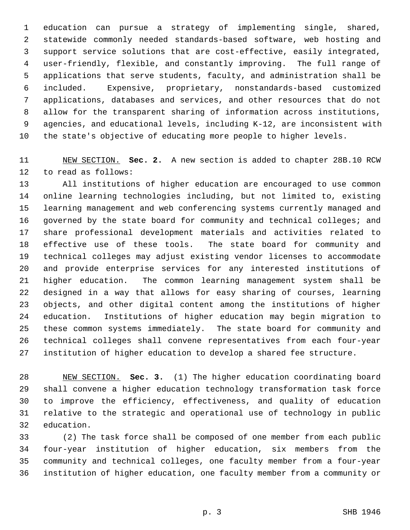1 education can pursue a strategy of implementing single, shared, 2 statewide commonly needed standards-based software, web hosting and 3 support service solutions that are cost-effective, easily integrated, 4 user-friendly, flexible, and constantly improving. The full range of 5 applications that serve students, faculty, and administration shall be 6 included. Expensive, proprietary, nonstandards-based customized 7 applications, databases and services, and other resources that do not 8 allow for the transparent sharing of information across institutions, 9 agencies, and educational levels, including K-12, are inconsistent with 10 the state's objective of educating more people to higher levels.

11 NEW SECTION. **Sec. 2.** A new section is added to chapter 28B.10 RCW 12 to read as follows:

13 All institutions of higher education are encouraged to use common 14 online learning technologies including, but not limited to, existing 15 learning management and web conferencing systems currently managed and 16 governed by the state board for community and technical colleges; and 17 share professional development materials and activities related to 18 effective use of these tools. The state board for community and 19 technical colleges may adjust existing vendor licenses to accommodate 20 and provide enterprise services for any interested institutions of 21 higher education. The common learning management system shall be 22 designed in a way that allows for easy sharing of courses, learning 23 objects, and other digital content among the institutions of higher 24 education. Institutions of higher education may begin migration to 25 these common systems immediately. The state board for community and 26 technical colleges shall convene representatives from each four-year 27 institution of higher education to develop a shared fee structure.

28 NEW SECTION. **Sec. 3.** (1) The higher education coordinating board 29 shall convene a higher education technology transformation task force 30 to improve the efficiency, effectiveness, and quality of education 31 relative to the strategic and operational use of technology in public 32 education.

33 (2) The task force shall be composed of one member from each public 34 four-year institution of higher education, six members from the 35 community and technical colleges, one faculty member from a four-year 36 institution of higher education, one faculty member from a community or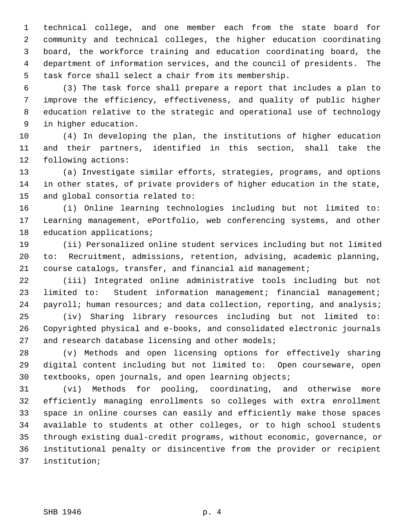1 technical college, and one member each from the state board for 2 community and technical colleges, the higher education coordinating 3 board, the workforce training and education coordinating board, the 4 department of information services, and the council of presidents. The 5 task force shall select a chair from its membership.

 6 (3) The task force shall prepare a report that includes a plan to 7 improve the efficiency, effectiveness, and quality of public higher 8 education relative to the strategic and operational use of technology 9 in higher education.

10 (4) In developing the plan, the institutions of higher education 11 and their partners, identified in this section, shall take the 12 following actions:

13 (a) Investigate similar efforts, strategies, programs, and options 14 in other states, of private providers of higher education in the state, 15 and global consortia related to:

16 (i) Online learning technologies including but not limited to: 17 Learning management, ePortfolio, web conferencing systems, and other 18 education applications;

19 (ii) Personalized online student services including but not limited 20 to: Recruitment, admissions, retention, advising, academic planning, 21 course catalogs, transfer, and financial aid management;

22 (iii) Integrated online administrative tools including but not 23 limited to: Student information management; financial management; 24 payroll; human resources; and data collection, reporting, and analysis;

25 (iv) Sharing library resources including but not limited to: 26 Copyrighted physical and e-books, and consolidated electronic journals 27 and research database licensing and other models;

28 (v) Methods and open licensing options for effectively sharing 29 digital content including but not limited to: Open courseware, open 30 textbooks, open journals, and open learning objects;

31 (vi) Methods for pooling, coordinating, and otherwise more 32 efficiently managing enrollments so colleges with extra enrollment 33 space in online courses can easily and efficiently make those spaces 34 available to students at other colleges, or to high school students 35 through existing dual-credit programs, without economic, governance, or 36 institutional penalty or disincentive from the provider or recipient 37 institution;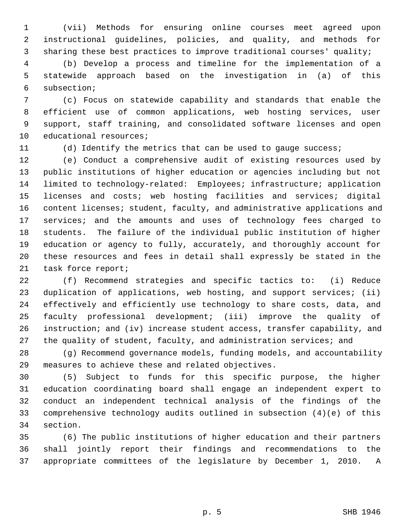1 (vii) Methods for ensuring online courses meet agreed upon 2 instructional guidelines, policies, and quality, and methods for 3 sharing these best practices to improve traditional courses' quality;

 4 (b) Develop a process and timeline for the implementation of a 5 statewide approach based on the investigation in (a) of this 6 subsection;

 7 (c) Focus on statewide capability and standards that enable the 8 efficient use of common applications, web hosting services, user 9 support, staff training, and consolidated software licenses and open 10 educational resources;

11 (d) Identify the metrics that can be used to gauge success;

12 (e) Conduct a comprehensive audit of existing resources used by 13 public institutions of higher education or agencies including but not 14 limited to technology-related: Employees; infrastructure; application 15 licenses and costs; web hosting facilities and services; digital 16 content licenses; student, faculty, and administrative applications and 17 services; and the amounts and uses of technology fees charged to 18 students. The failure of the individual public institution of higher 19 education or agency to fully, accurately, and thoroughly account for 20 these resources and fees in detail shall expressly be stated in the 21 task force report;

22 (f) Recommend strategies and specific tactics to: (i) Reduce 23 duplication of applications, web hosting, and support services; (ii) 24 effectively and efficiently use technology to share costs, data, and 25 faculty professional development; (iii) improve the quality of 26 instruction; and (iv) increase student access, transfer capability, and 27 the quality of student, faculty, and administration services; and

28 (g) Recommend governance models, funding models, and accountability 29 measures to achieve these and related objectives.

30 (5) Subject to funds for this specific purpose, the higher 31 education coordinating board shall engage an independent expert to 32 conduct an independent technical analysis of the findings of the 33 comprehensive technology audits outlined in subsection (4)(e) of this 34 section.

35 (6) The public institutions of higher education and their partners 36 shall jointly report their findings and recommendations to the 37 appropriate committees of the legislature by December 1, 2010. A